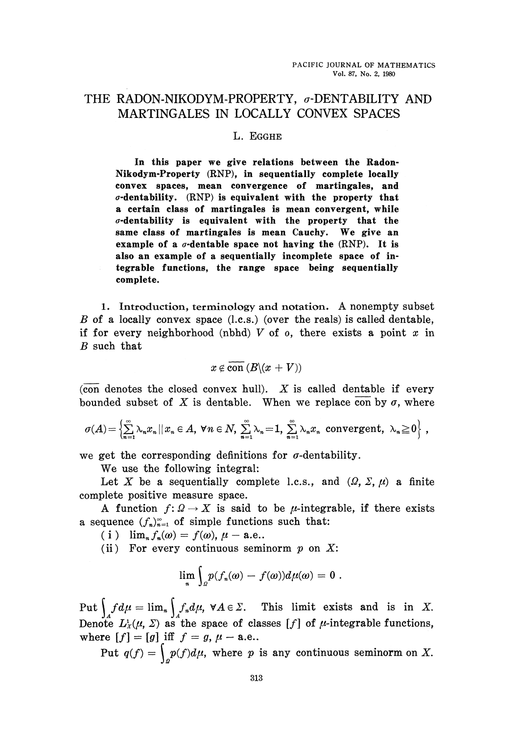## THE RADON-NIKODYM-PROPERTY,  $\sigma$ -DENTABILITY AND MARTINGALES IN LOCALLY CONVEX SPACES

## **L. EGGHE**

**In this paper we give relations between the Radon Nikodym-Property (RNP), in sequentially complete locally convex spaces, mean convergence of martingales, and α-dentability. (RNP) is equivalent with the property that a certain class of martingales is mean convergent, while <7-dentability is equivalent with the property that the same class of martingales is mean Cauchy. We give an example of a σ-dentable space not having the (RNP). It is also an example of a sequentially incomplete space of in tegrable functions, the range space being sequentially complete.**

1. Introduction, terminology and notation. A nonempty subset *B* of a locally convex space (l.c.s.) (over the reals) is called dentable, if for every neighborhood (nbhd) *V* of o, there exists a point *x* in *B* such that

$$
x\not\in\mathrm{\overline{con}}\,(B\backslash(x+V))
$$

(con denotes the closed convex hull). *X* is called deniable if every bounded subset of X is dentable. When we replace con by  $\sigma$ , where

$$
\sigma(A) = \left\{ \sum_{n=1}^{\infty} \lambda_n x_n \, || \, x_n \in A, \ \forall n \in N, \ \sum_{n=1}^{\infty} \lambda_n = 1, \ \sum_{n=1}^{\infty} \lambda_n x_n \text{ convergent, } \lambda_n \geq 0 \right\},
$$

we get the corresponding definitions for  $\sigma$ -dentability.

We use the following integral:

Let *X* be a sequentially complete l.c.s., and  $(\Omega, \Sigma, \mu)$  a finite complete positive measure space.

A function  $f: \Omega \to X$  is said to be *μ*-integrable, if there exists a sequence  $(f_n)_{n=1}^{\infty}$  of simple functions such that:

( i )  $\lim_{n} f_n(\omega) = f(\omega), \mu - \text{a.e.}.$ 

(ii) For every continuous seminorm *p* on *X:*

$$
\lim_{n}\int_{\Omega}p(f_n(\omega)-f(\omega))d\mu(\omega)=0.
$$

Put  $\int f d\mu = \lim_{n} \int f_n d\mu$ ,  $\forall A \in \Sigma$ . This limit exists and is in X. Denote  $L_x^1(\mu, \Sigma)$  as the space of classes [f] of  $\mu$ -integrable functions, where  $[f] = [g]$  iff  $f = g$ ,  $\mu - a$ .e.. where  $\begin{bmatrix} 1 \\ 0 \end{bmatrix}$   $\begin{bmatrix} g \\ g \end{bmatrix}$  if  $\begin{bmatrix} g \\ g \end{bmatrix}$  if  $\begin{bmatrix} g \\ g \end{bmatrix}$  if  $\begin{bmatrix} g \\ g \end{bmatrix}$  if  $\begin{bmatrix} g \\ g \end{bmatrix}$  if  $\begin{bmatrix} g \\ g \end{bmatrix}$  if  $\begin{bmatrix} g \\ g \end{bmatrix}$  if  $\begin{bmatrix} g \\ g \end{bmatrix}$  if  $\begin{bmatrix} g \\ g \end{bmatrix}$  if  $\begin{bmatrix}$ 

Fut  $q(j) = \int_{\mathcal{Q}} p(j) d\mu$ , where *p* is any continuous seminorm on  $\Lambda$ .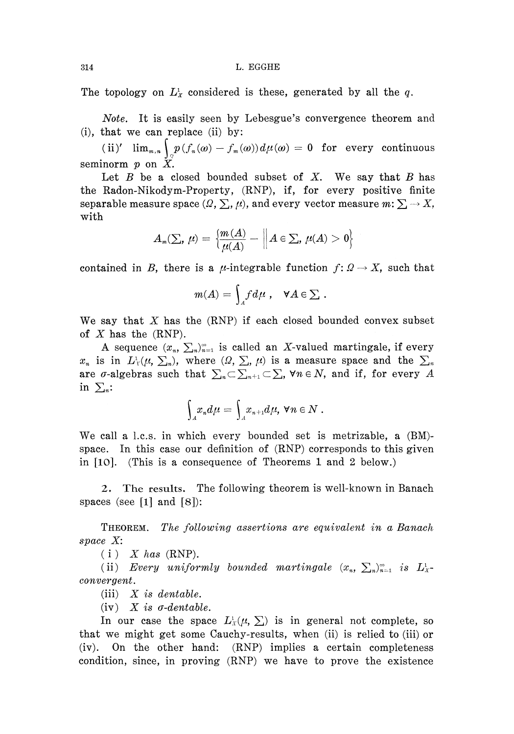The topology on  $L^1_x$  considered is these, generated by all the  $q$ .

*Note.* It is easily seen by Lebesgue's convergence theorem and (i), that we can replace (ii) by:

 $\lim_{m,n}\int_{\mathbb{R}}p(f_n(\omega)-f_m(\omega))d\mu(\omega)=0\;\;\textrm{for}\;\;\textrm{every}\;\;\textrm{continuous}\;$ seminorm *p* on *X.*

Let  $B$  be a closed bounded subset of  $X$ . We say that  $B$  has the Radon-Nikodym-Property, (RNP), if, for every positive finite separable measure space  $(\varOmega , \sum , \mu)$ , and every vector measure  $m\!:\sum \rightarrow X,$ with

$$
A_{\scriptscriptstyle \mathfrak{m}}(\Sigma,\,\mu)=\,\Bigl\lbrack\frac{\mathfrak{m}\left( A\right) }{\mu(A)}-\Big\lVert A\in\Sigma,\,\mu(A)>0\Bigr\rbrace
$$

contained in *B*, there is a *μ*-integrable function  $f: Q \to X$ , such that

$$
m(A) = \int_A f d\mu \ , \quad \forall A \in \Sigma \ .
$$

We say that *X* has the (RNP) if each closed bounded convex subset of *X* has the (RNP).

A sequence  $(x_n, \sum_n)_{n=1}^{\infty}$  is called an X-valued martingale, if every  $x_n$  is in  $L^1_Y(\mu, \sum_n)$ , where  $(\Omega, \sum_n \mu)$  is a measure space and the  $\sum_n$ are  $\sigma$ -algebras such that  $\sum_{n\in\sum_{n+1}\subset\sum_{n}$   $\forall n\in N$ , and if, for every  $A$ in  $\sum_{n}$ :

$$
\int_A x_n d\mu = \int_A x_{n+1} d\mu, \ \forall n \in N.
$$

We call a l.c.s. in which every bounded set is metrizable, a (BM) space. In this case our definition of (RNP) corresponds to this given in [10]. (This is a consequence of Theorems 1 and 2 below.)

2. The results. The following theorem is well-known in Banach spaces (see  $\lceil 1 \rceil$  and  $\lceil 8 \rceil$ ):

THEOREM. *The following assertions are equivalent in a Banach space X:*

 $(i)$  *X has* (RNP).

(ii) Every uniformly bounded martingale  $(x_n, \sum_n)_{n=1}^{\infty}$  is  $L^1_X$ *convergent.*

(iii) *X is deniable.*

(iv) *X is σ-dentable.*

In our case the space  $L^1_x(\mu, \Sigma)$  is in general not complete, so that we might get some Cauchy-results, when (ii) is relied to (iii) or (iv). On the other hand: (RNP) implies a certain completeness condition, since, in proving (RNP) we have to prove the existence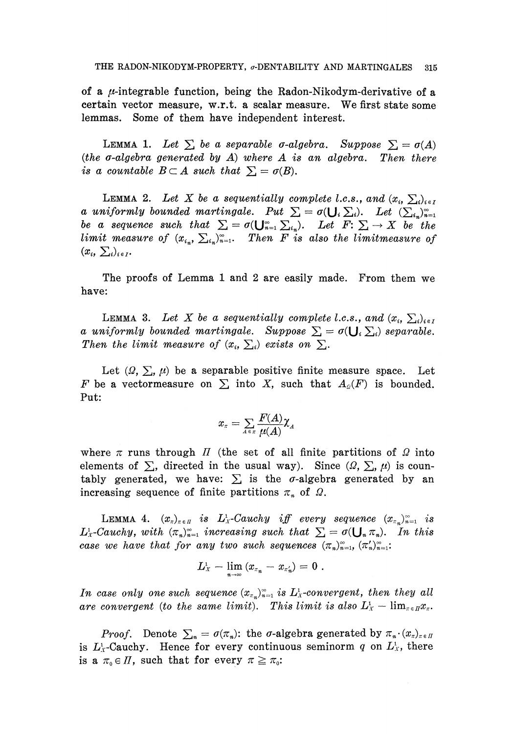of a  $\mu$ -integrable function, being the Radon-Nikodym-derivative of a certain vector measure, w.r.t. a scalar measure. We first state some lemmas. Some of them have independent interest.

LEMMA 1. Let  $\sum$  be a separable *σ*-algebra. Suppose  $\sum = \sigma(A)$ *(the σ-algebra generated by A) where A is an algebra. Then there is a countable B* $\subset$ *A such that*  $\Sigma = \sigma(B)$ .

LEMMA 2. Let X be a sequentially complete *l.c.s.,* and  $(x_i, \sum_i)_{i \in I}$ *a* uniformly bounded martingale. Put  $\Sigma = \sigma(\bigcup_i \Sigma_i)$ . Let  $(\sum_{i_n})_{n=1}^{\infty}$ *be a sequence such that*  $\sum = \sigma(\bigcup_{n=1}^{\infty} \sum_{i_n})$ *. Let*  $F: \sum \rightarrow X$  *be the limit measure of*  $(x_{i_n}, \sum_{i_n})_{n=1}^{\infty}$ . Then F is also the limitmeasure of  $(x_i, \sum_i)_{i \in I}$ 

The proofs of Lemma 1 and 2 are easily made. From them we have:

LEMMA 3. Let X be a sequentially complete *l.c.s., and*  $(x_i, \sum_i)_{i \in I}$ *a* uniformly bounded martingale. Suppose  $\sum = \sigma(\bigcup_i \sum_i)$  separable. *Then the limit measure of*  $(x_i, \sum_i)$  exists on  $\Sigma$ .

Let  $(\Omega, \Sigma, \mu)$  be a separable positive finite measure space. Let *F* be a vector measure on  $\Sigma$  into *X*, such that  $A_0(F)$  is bounded. Put:

$$
x_{\pi}=\sum_{A\in\pi}\frac{F(A)}{\mu(A)}\chi^{}_{A}
$$

where  $\pi$  runs through  $\pi$  (the set of all finite partitions of  $\Omega$  into elements of  $\Sigma$ , directed in the usual way). Since  $(\Omega, \Sigma, \mu)$  is coun tably generated, we have:  $\sum$  is the σ-algebra generated by an increasing sequence of finite partitions  $\pi_n$  of  $\Omega$ .

LEMMA 4.  $(x_{\pi})_{\pi \in \Pi}$  *is*  $L^1_X$ *-Cauchy iff every sequence*  $(x_{\pi_n})_{n=1}^{\infty}$  *is*  $L^1_X$ -Cauchy, with  $(\pi_n)_{n=1}^{\infty}$  increasing such that  $\sum = \sigma(\bigcup_n \pi_n)$ . In this *case we have that for any two such sequences*  $(\pi_n)_{n=1}^{\infty}, (\pi'_n)_{n=1}^{\infty}$ .

$$
L^{\scriptscriptstyle 1}_{{\scriptscriptstyle X}}-\lim_{_{n\to\infty}\,(x_{\scriptscriptstyle \pi^-_{n}}-x_{\scriptscriptstyle \pi'_n})=0\,\,.
$$

In case only one such sequence  $(x_{\pi_n})_{n=1}^{\infty}$  is  $L^1_x$ -convergent, then they all *are convergent (to the same limit). This limit is also*  $L_x^1 - \lim_{z \in \mathbb{R}} x_z$ .

*Proof.* Denote  $\sum_{n} = \sigma(\pi_n)$ : the  $\sigma$ -algebra generated by  $\pi_n \cdot (x_n)_{n \in I}$ is  $L_x^1$ -Cauchy. Hence for every continuous seminorm q on  $L_x^1$ , there is a  $\pi_{0} \in \Pi$ , such that for every  $\pi \geq \pi_{0}$ :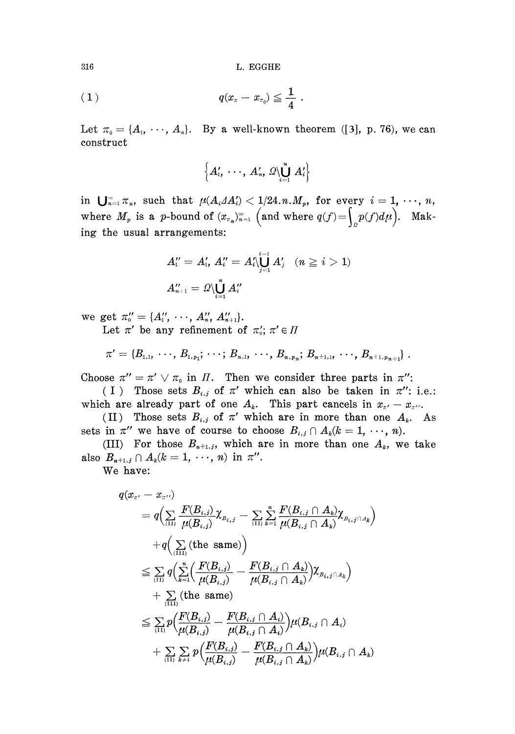316 L. EGGHE

$$
(1) \t q(x_{\scriptscriptstyle \pi} - x_{\scriptscriptstyle \pi_0}) \leqq \frac{1}{4}.
$$

Let  $\pi_0 = \{A_1, \dots, A_n\}$ . By a well-known theorem ([3], p. 76), we can construct

$$
\left\{A_{1}',\,\,\cdots,\,\,A_{n}',\,\varOmega\backslash\bigcup_{i=1}^{n}\,A_{i}'\right\}
$$

in  $\bigcup_{n=1}^{\infty} \pi_n$ , such that  $\mu(A_i \Delta A'_i) < 1/24 \ldots M_p$ , for every  $i = 1, \ldots, n$ , where  $M_p$  is a p-bound of  $(x_{\tau_n})_{n=1}^{\infty}$  (and where  $q(f) = \int_{\mathbb{R}^n} p(f) d\mu$ ). Mak ing the usual arrangements:

$$
\begin{array}{l} A''_1=A'_1,\, A''_i=A'_i\backslash{\bigcup_{j=1}^{i-1}A'_j}\quad (n\ge i>1)\\[2mm] A''_{n+1}=\varOmega\backslash{\bigcup_{i=1}^{n}A''_i}\end{array}
$$

we get  $\pi''_0 = \{A''_1, \cdots, A''_n, A''_{n+1} \}.$ 

Let  $\pi'$  be any refinement of  $\pi'_0$ ;  $\pi' \in \Pi$ 

$$
\pi' = \{B_{1,1}, \ \cdots, \ B_{1,p_1}; \ \cdots; \ B_{n,1}, \ \cdots, \ B_{n,p_n}; \ B_{n+1,1}, \ \cdots, \ B_{n+1,p_{n+1}}\} \ .
$$

Choose  $\pi'' = \pi' \vee \pi_0$  in  $\Pi$ . Then we consider three parts in  $\pi''$ :

( I ) Those sets  $B_{i,j}$  of  $\pi'$  which can also be taken in  $\pi''$ : i.e.: which are already part of one  $A_k$ . This part cancels in  $x_{\pi'} - x_{\pi''}$ .

(II) Those sets  $B_{i,j}$  of  $\pi'$  which are in more than one  $A_k$ . As sets in  $\pi''$  we have of course to choose  $B_{i,j} \cap A_k (k = 1, \dots, n)$ .

(III) For those  $B_{n+1,j}$ , which are in more than one  $A_k$ , we take also  $B_{n+1,j} \cap A_k (k = 1, \dots, n)$  in  $\pi''$ .

We have:

$$
q(x_{\pi'}-x_{\pi''})
$$
\n
$$
= q\Big(\sum_{(11)} \frac{F(B_{i,j})}{\mu(B_{i,j})} \chi_{B_{i,j}} - \sum_{(11)} \sum_{k=1}^n \frac{F(B_{i,j} \cap A_k)}{\mu(B_{i,j} \cap A_k)} \chi_{B_{i,j} \cap A_k}\Big)
$$
\n
$$
+ q\Big(\sum_{(111)} (\text{the same})\Big)
$$
\n
$$
\leq \sum_{(11)} q\Big(\sum_{k=1}^n \Big(\frac{F(B_{i,j})}{\mu(B_{i,j})} - \frac{F(B_{i,j} \cap A_k)}{\mu(B_{i,j} \cap A_k)}\Big) \chi_{B_{i,j} \cap A_k}\Big)
$$
\n
$$
+ \sum_{(111)} (\text{the same})
$$
\n
$$
\leq \sum_{(11)} p\Big(\frac{F(B_{i,j})}{\mu(B_{i,j})} - \frac{F(B_{i,j} \cap A_i)}{\mu(B_{i,j} \cap A_i)}\Big) \mu(B_{i,j} \cap A_i)
$$
\n
$$
+ \sum_{(11)} \sum_{k \neq i} p\Big(\frac{F(B_{i,j})}{\mu(B_{i,j})} - \frac{F(B_{i,j} \cap A_k)}{\mu(B_{i,j} \cap A_k)}\Big) \mu(B_{i,j} \cap A_k)
$$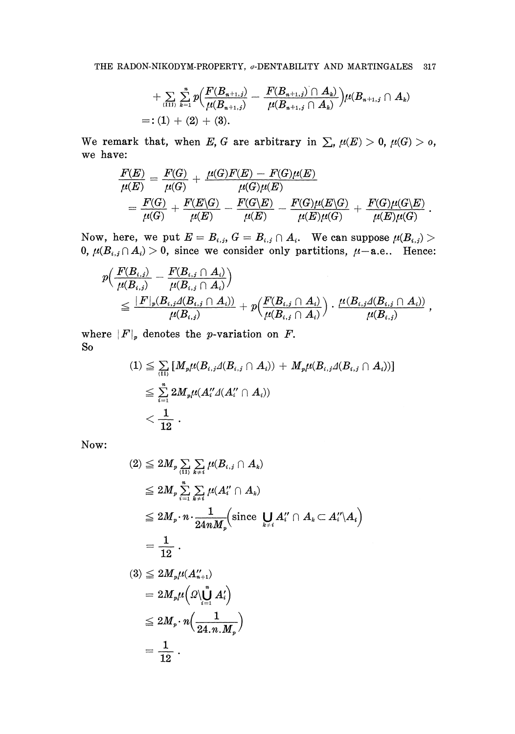$$
+ \mathop{\textstyle \sum}_{\langle\mathop{\rm III}\rangle}\sum_{k=1}^n p\Bigl( \frac{F(B_{n+1,j})}{\mu(B_{n+1,j})} - \frac{F(B_{n+1,j})\cap A_k)}{\mu(B_{n+1,j}\cap A_k)} \Bigr) \mu(B_{n+1,j}\cap A_k)\\ =: (1) + (2) + (3).
$$

We remark that, when E, G are arbitrary in  $\sum$ ,  $\mu(E) > 0$ ,  $\mu(G) > 0$ , we have:

$$
\frac{F(E)}{\mu(E)} = \frac{F(G)}{\mu(G)} + \frac{\mu(G)F(E) - F(G)\mu(E)}{\mu(G)\mu(E)}\\ = \frac{F(G)}{\mu(G)} + \frac{F(E\backslash G)}{\mu(E)} - \frac{F(G\backslash E)}{\mu(E)} - \frac{F(G)\mu(E\backslash G)}{\mu(E)\mu(G)} + \frac{F(G)\mu(G\backslash E)}{\mu(E)\mu(G)}\\
$$

Now, here, we put  $E = B_{i,j}, G = B_{i,j} \cap A_i$ . We can suppose  $\mu(B_{i,j}) >$ 0,  $\mu(B_{i,j} \cap A_i) > 0$ , since we consider only partitions,  $\mu$ -a.e.. Hence:

$$
\begin{split} p & \Big( \frac{F(B_{i,j})}{\mu(B_{i,j})} - \frac{F(B_{i,j} \cap A_i)}{\mu(B_{i,j} \cap A_i)} \Big) \\ & \le \frac{|F|_p(B_{i,j} \Delta(B_{i,j} \cap A_i))}{\mu(B_{i,j})} + p \Big( \frac{F(B_{i,j} \cap A_i)}{\mu(B_{i,j} \cap A_i)} \Big) \cdot \frac{\mu(B_{i,j} \Delta(B_{i,j} \cap A_i))}{\mu(B_{i,j})} \end{split} \,,
$$

where  $|F|_p$  denotes the *p*-variation on *F*. So

$$
(1) \leqq \sum_{(II)} [M_p \mu(B_{i,j} \Delta(B_{i,j} \cap A_i)) + M_p \mu(B_{i,j} \Delta(B_{i,j} \cap A_i))]
$$
  

$$
\leqq \sum_{i=1}^n 2M_p \mu(A_i \Delta(A_i' \cap A_i))
$$
  

$$
< \frac{1}{12}.
$$

Now:

$$
(2) \leq 2M_p \sum_{(11)} \sum_{k \neq i} \mu(B_{i,j} \cap A_k)
$$
  
\n
$$
\leq 2M_p \sum_{i=1}^n \sum_{k \neq i} \mu(A''_i \cap A_k)
$$
  
\n
$$
\leq 2M_p \cdot n \cdot \frac{1}{24nM_p} \left( \text{since } \bigcup_{k \neq i} A''_i \cap A_k \subset A''_i \backslash A_i \right)
$$
  
\n
$$
= \frac{1}{12}.
$$
  
\n
$$
(3) \leq 2M_p \mu(A''_{n+1})
$$
  
\n
$$
= 2M_p \mu \left( \Omega \backslash \bigcup_{i=1}^n A'_i \right)
$$
  
\n
$$
\leq 2M_p \cdot n \left( \frac{1}{24 \cdot n \cdot M_p} \right)
$$
  
\n
$$
= \frac{1}{12}.
$$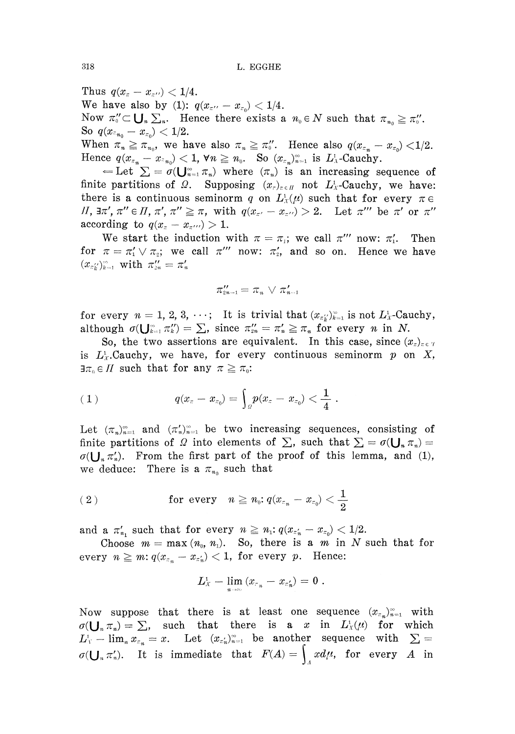Thus  $q(x_{\pi} - x_{\pi})$  < 1/4. We have also by (1):  $q(x_{\pi''} - x_{\pi_0}) < 1/4$ . Now  $\pi''_0 \subset \bigcup_{n} \sum_{n}$ . Hence there exists a  $n_0 \in N$  such that  $\pi_{n_0} \geq \pi_0''$ . So  $q(x_{\pi_{n_0}} - x_{\pi_0}) < 1/2$ . When  $\pi_n \geqq \pi_{n_0}$ , we have also  $\pi_n \geqq \pi_0''$ . Hence also  $q(x_{\pi_n} - x_{\pi_0}) < 1/2$ .

Hence  $q(x_{\pi_n} - x_{\pi_{n_0}}) < 1$ ,  $\forall n \geq n_0$ . So  $(x_{\pi_n})_{n=1}^{\infty}$  is  $L^1_{\Lambda}$ -Cauchy.

 $\epsilon =$  Let  $\Sigma = \sigma(\bigcup_{n=1}^{\infty} \pi_n)$  where  $(\pi_n)$  is an increasing sequence of finite partitions of *Ω*. Supposing  $(x_{r})_{r \in H}$  not  $L_x^1$ -Cauchy, we have: there is a continuous seminorm q on  $L<sub>x</sub>(\mu)$  such that for every  $\pi \in$ *II*,  $\exists \pi', \pi'' \in \Pi, \pi', \pi'' \geq \pi$ , with  $q(x_{\pi'} - x_{\pi'}) > 2$ . Let  $\pi'''$  be  $\pi'$  or  $\pi''$ according to  $q(x_z - x_{\tau''}) > 1$ .

We start the induction with  $\pi = \pi_i$ ; we call  $\pi''$  now:  $\pi'_i$ . Then for  $\pi = \pi'_1 \vee \pi_2$ ; we call  $\pi'''$  now:  $\pi'_2$ , and so on. Hence we have

$$
\pi_{2n-1}''=\pi_n\,\vee\,\pi_{n-1}'
$$

for every  $n = 1, 2, 3, \cdots$ ; It is trivial that  $(x_{\pi_k})_{k=1}^{\infty}$  is not  $L_x^1$ -Cauchy, although  $\sigma(\bigcup_{k=1}^{\infty} \pi_k^{\prime\prime}) = \sum$ , since  $\pi_{2n}^{\prime\prime} = \pi_n^{\prime} \geq \pi_n$  for every *n* in *N*.

So, the two assertions are equivalent. In this case, since  $(x_i)_{i \in \mathcal{Y}}$ is  $L_x^1$ .Cauchy, we have, for every continuous seminorm p on X,  $\exists \pi_{0} \in \Pi$  such that for any  $\pi \geq \pi_{0}$ :

$$
(|1) \tqquad \qquad q(x_z-x_{z_0})=\Big\rfloor_{\varrho} p(x_z-x_{z_0})<\frac{1}{4}\;.
$$

Let  $(\pi_n)_{n=1}^{\infty}$  and  $(\pi'_n)_{n=1}^{\infty}$  be two increasing sequences, consisting of finite partitions of *Ω* into elements of  $\sum$ , such that  $\sum = \sigma(\bigcup_{n} \pi_n) =$  $\sigma(\bigcup_{n} \pi'_n)$ . From the first part of the proof of this lemma, and (1), we deduce: There is a  $\pi_{n_0}$  such that

$$
(2) \hspace{1cm} \textbf{for every} \hspace{0.3cm} n \geqq n_{\scriptscriptstyle 0}\hspace{-1mm}:\hspace{-1mm} q (x_{\scriptscriptstyle \pi_{n}} - x_{\scriptscriptstyle \pi_{0}}) < \frac{1}{2}
$$

and a  $\pi'_{n_1}$  such that for every  $n \geq n_1$ :  $q(x_{\pi'_n} - x_{\pi_0}) < 1/2$ .

Choose  $m = \max(n_0, n_1)$ . So, there is a m in N such that for every  $n \geqq m{:}~ q(x_{\varepsilon_n} - x_{\varepsilon'_n}) < 1,$  for every  $p.$  Hence:

$$
L_{\scriptscriptstyle X}^{\scriptscriptstyle 1} - \lim_{\scriptscriptstyle n \to \infty} \left(x_{\scriptscriptstyle \tau_n} - x_{\scriptscriptstyle \tau'_n} \right) = 0 \; .
$$

Now suppose that there is at least one sequence  $(x_{\pi_n})_{n=1}^{\infty}$  with  $\sigma(\bigcup_{n} \pi_n) = \sum$ , such that there is a  $x$  in  $L^1_X(\mu)$  for which  $L_Y^1$  –  $\lim_{n} x_{\epsilon_n} = x$ . Let  $(x_{\epsilon'_n})_{n=1}^{\infty}$  be another sequence with  $\sum$  =  $\sigma(\bigcup_{n} \pi'_n)$ . It is immediate that  $F(A) = \int_A x d\mu$ , for every *A* in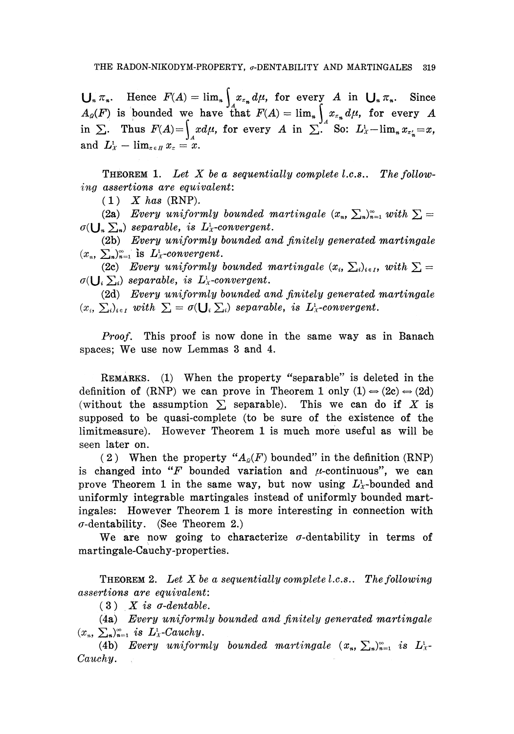$\bigcup_{n} \pi_{n}$ . Hence  $F(A) = \lim_{n} \int x_{\pi_{n}} d\mu$ , for every *A* in  $\bigcup_{n} \pi_{n}$ . Since *fhat*  $F(A)$  -  $\lim$  1  $\frac{2\pi}{\pi} \int_{A}^{A} \frac{f(x)}{f(x)} dx$  = limits  $\frac{2\pi}{\pi} \int_{A}^{A} \frac{f(x)}{f(x)} dx$  = limits  $\frac{2\pi}{\pi} \int_{A}^{A} \frac{f(x)}{f(x)} dx$ and  $L_x^1$  –  $\lim_{x \in \Pi} x_x = x$ .  $\frac{d}{dx}$ , for every  $\frac{d}{dx}$  in  $\sum$ , so:  $\frac{d}{dx}$   $\lim_{n \to \infty} x_n^2 = x$ ,

THEOREM 1. Let X be a sequentially complete *l.c.s.*. The follow*ing assertions are equivalent:*

(1) *X has* (RNP).

(2a) Every uniformly bounded martingale  $(x_n, \sum_n)_{n=1}^{\infty}$  with  $\sum$  =  $\sigma(\bigcup_{n}\sum_{n})$  separable, is  $L^1$ <sub>*x*</sub>-convergent.

(2b) *Every uniformly bounded and finitely generated martingale*  $(x_n, \sum_n)_{n=1}^{\infty}$  is  $L^1$ *x*-convergent.

(2c) Every uniformly bounded martingale  $(x_i, \sum_i)_{i \in I}$ , with  $\sum$  =  $\sigma(\bigcup_i \sum_i)$  separable, is  $L^1$ <sub>x</sub>-convergent.

(2d) *Every uniformly bounded and finitely generated martingale*  $(x_i, \sum_i)_{i \in I}$  with  $\sum_i = \sigma(\bigcup_i \sum_i)$  separable, is  $L^1_X$ -convergent.

*Proof.* This proof is now done in the same way as in Banach spaces; We use now Lemmas 3 and 4.

REMARKS. (1) When the property "separable" is deleted in the definition of (RNP) we can prove in Theorem 1 only  $(1) \Rightarrow (2c) \Rightarrow (2d)$ (without the assumption  $\Sigma$  separable). This we can do if X is supposed to be quasi-complete (to be sure of the existence of the limitmeasure). However Theorem 1 is much more useful as will be seen later on.

(2) When the property  $"A_{\rho}(F)$  bounded" in the definition (RNP) is changed into " $F$  bounded variation and  $\mu$ -continuous", we can prove Theorem 1 in the same way, but now using  $L^1$ -bounded and uniformly integrable martingales instead of uniformly bounded mart ingales: However Theorem 1 is more interesting in connection with  $\sigma$ -dentability. (See Theorem 2.)

We are now going to characterize  $\sigma$ -dentability in terms of martingale-Cauchy-properties.

THEOREM 2. *Let X be a sequentially complete l.c.s.. The following assertions are equivalent:*

 $(3)$  *X* is  $\sigma$ -dentable.

(4a) *Every uniformly bounded and finitely generated martingale*  $(x_n, \sum_n)_{n=1}^{\infty}$  *is*  $L^1$ *<sub>X</sub>*-Cauchy.

(4b) *Every uniformly bounded martingale*  $(x_n, \sum_n)_{n=1}^{\infty}$  *is*  $L^1_x$ . *Cauchy.*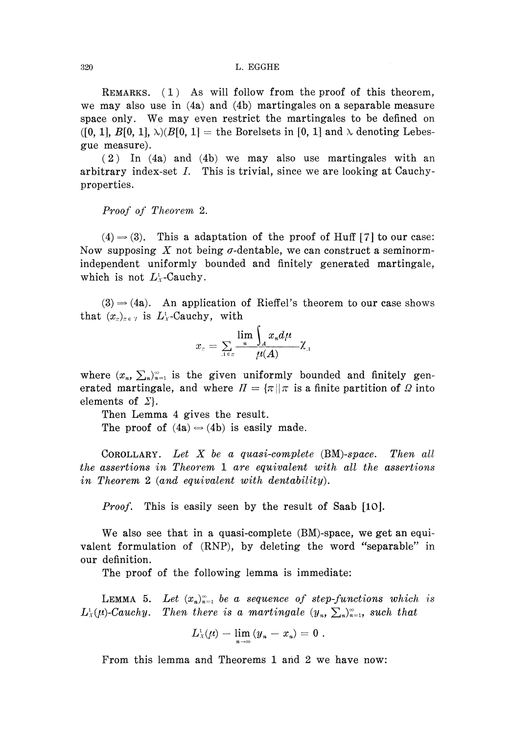REMARKS. (1) As will follow from the proof of this theorem, we may also use in (4a) and (4b) martingales on a separable measure space only. We may even restrict the martingales to be defined on ([0, 1],  $B[0, 1]$ ,  $\lambda$ )( $B[0, 1]$  = the Borelsets in [0, 1] and  $\lambda$  denoting Lebesgue measure).

(2) In (4a) and (4b) we may also use martingales with an arbitrary index-set  $I$ . This is trivial, since we are looking at Cauchyproperties.

*Proof of Theorem* 2.

 $(4) \rightarrow (3)$ . This a adaptation of the proof of Huff [7] to our case: Now supposing  $X$  not being  $\sigma$ -dentable, we can construct a seminormindependent uniformly bounded and finitely generated martingale, which is not  $L^1$ -Cauchy.

 $(3) \rightarrow (4a)$ . An application of Rieffel's theorem to our case shows that  $(x_{\tau})_{\tau \in \mathcal{T}}$  is  $L^1_{\mathcal{X}}$ -Cauchy, with

$$
x_\varepsilon=\sum_{A\in\pi}\frac{\lim\limits_{n}\int_Ax_n d\mu}{\mu(A)}\chi_A
$$

where  $(x_n, \sum_n)_{n=1}^{\infty}$  is the given uniformly bounded and finitely gen erated martingale, and where  $\Pi = \{\pi | \pi \text{ is a finite partition of } \Omega \text{ into }$ elements of *Σ).*

Then Lemma 4 gives the result. The proof of  $(4a) \Leftrightarrow (4b)$  is easily made.

COROLLARY. *Let X be a quasi-complete (BM)-space. Then all the assertions in Theorem* 1 *are equivalent with all the assertions in Theorem 2 (and equivalent with dentability).*

*Proof.* This is easily seen by the result of Saab [10].

We also see that in a quasi-complete (BM)-space, we get an equivalent formulation of (RNP), by deleting the word "separable" in our definition.

The proof of the following lemma is immediate:

**LEMMA** 5. Let  $(x_n)_{n=1}^{\infty}$  be a sequence of step-functions which is  $L_{\mathfrak{x}}^{\iota}(\mu)$ -Cauchy. Then there is a martingale  $(y_{n},\, \sum_{n})_{n=1}^{\infty}$ , such that

$$
L_X^1(\mu)-\lim_{n\to\infty}(y_n-x_n)=0.
$$

From this lemma and Theorems 1 and 2 we have now: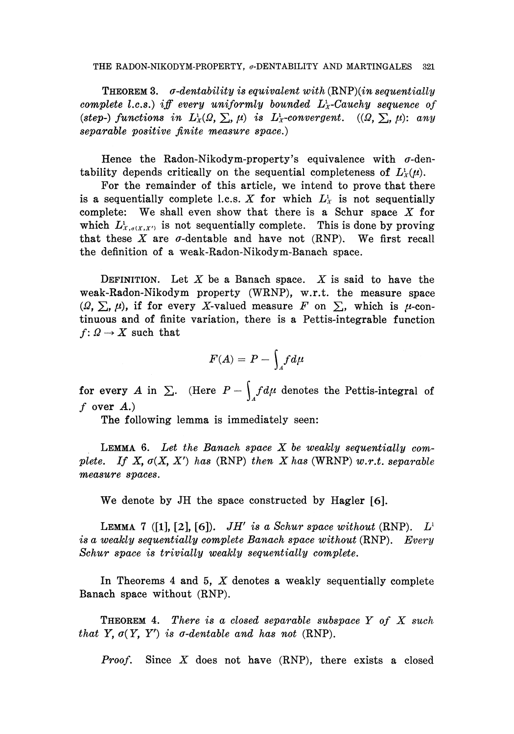THEOREM 3. *σ-dentability is equivalent with (RNF)(in sequentially complete Lc.s.) iff every uniformly bounded L<sup>x</sup> -Cauehy sequence of*  $(step-)$  functions in  $L^1_X(\Omega, \Sigma, \mu)$  is  $L^1_X$ -convergent.  $((\Omega, \Sigma, \mu):$  any *separable positive finite measure space.)*

Hence the Radon-Nikodym-property's equivalence with  $\sigma$ -dentability depends critically on the sequential completeness of  $L^1$ <sub>*x*</sub> $(\mu)$ .

For the remainder of this article, we intend to prove that there is a sequentially complete l.c.s.  $X$  for which  $L_X^1$  is not sequentially complete: We shall even show that there is a Schur space *X* for which  $L^1_{X,q(X,X')}$  is not sequentially complete. This is done by proving that these  $X$  are  $\sigma$ -dentable and have not (RNP). We first recall the definition of a weak-Radon-Nikodym-Banach space.

DEFINITION. Let *X* be a Banach space. *X* is said to have the weak-Radon-Nikodym property (WRNP), w.r.t. the measure space ( $Ω$ ,  $Σ$ ,  $μ$ ), if for every X-valued measure  $F$  on  $Σ$ , which is  $μ$ -con tinuous and of finite variation, there is a Pettis-integrable function  $f: Q \rightarrow X$  such that

$$
F(A) = P - \int_A f d\mu
$$

for every *A* in  $\Sigma$ . (Here  $P - \int_A f d\mu$  denotes the Pettis-integral of *f* over *A.)*

The following lemma is immediately seen:

LEMMA 6. *Let the Banach space X be weakly sequentially complete. If X, σ(X<sup>f</sup> X') has* (RNP) *then X has* (WRNP) *w.r.t. separable measure spaces.*

We denote by JH the space constructed by Hagler [6].

**LEMMA** 7 ([1], [2], [6]). *JH'* is a Schur space without (RNP).  $L^1$ *is a weakly sequentially complete Banach space without* (RNP). *Every Schur space is trivially weakly sequentially complete.*

In Theorems 4 and 5, *X* denotes a weakly sequentially complete Banach space without (RNP).

THEOREM 4. *There is a closed separable subspace Y of X such that Y,*  $\sigma(Y, Y')$  *is*  $\sigma$ *-dentable and has not* (RNP).

*Proof.* Since *X* does not have (RNP), there exists a closed